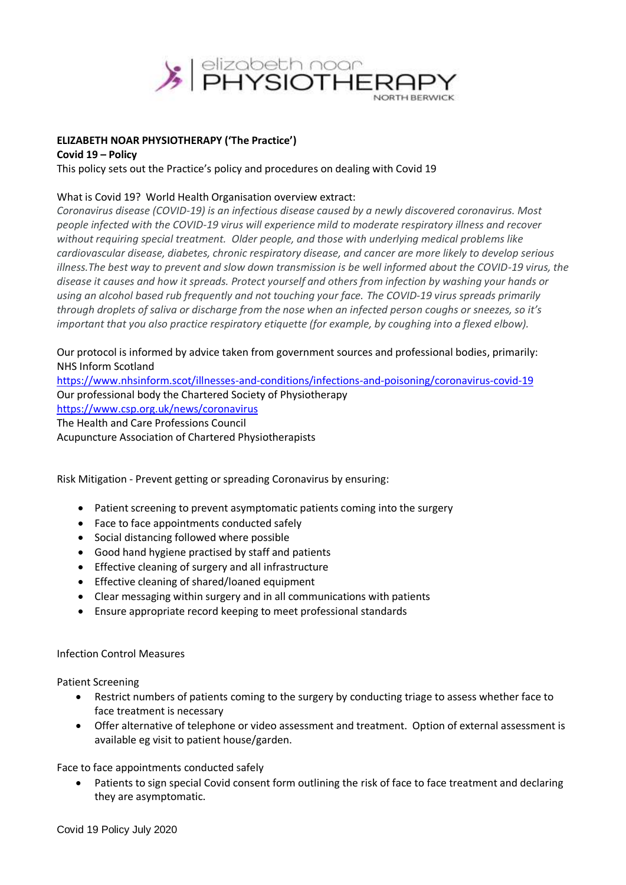

## **ELIZABETH NOAR PHYSIOTHERAPY ('The Practice')**

**Covid 19 – Policy** 

This policy sets out the Practice's policy and procedures on dealing with Covid 19

# What is Covid 19? World Health Organisation overview extract:

*Coronavirus disease (COVID-19) is an infectious disease caused by a newly discovered coronavirus. Most people infected with the COVID-19 virus will experience mild to moderate respiratory illness and recover without requiring special treatment. Older people, and those with underlying medical problems like cardiovascular disease, diabetes, chronic respiratory disease, and cancer are more likely to develop serious illness.The best way to prevent and slow down transmission is be well informed about the COVID-19 virus, the disease it causes and how it spreads. Protect yourself and others from infection by washing your hands or using an alcohol based rub frequently and not touching your face. The COVID-19 virus spreads primarily through droplets of saliva or discharge from the nose when an infected person coughs or sneezes, so it's important that you also practice respiratory etiquette (for example, by coughing into a flexed elbow).*

Our protocol is informed by advice taken from government sources and professional bodies, primarily: NHS Inform Scotland

<https://www.nhsinform.scot/illnesses-and-conditions/infections-and-poisoning/coronavirus-covid-19> Our professional body the Chartered Society of Physiotherapy <https://www.csp.org.uk/news/coronavirus> The Health and Care Professions Council Acupuncture Association of Chartered Physiotherapists

Risk Mitigation - Prevent getting or spreading Coronavirus by ensuring:

- Patient screening to prevent asymptomatic patients coming into the surgery
- Face to face appointments conducted safely
- Social distancing followed where possible
- Good hand hygiene practised by staff and patients
- Effective cleaning of surgery and all infrastructure
- Effective cleaning of shared/loaned equipment
- Clear messaging within surgery and in all communications with patients
- Ensure appropriate record keeping to meet professional standards

### Infection Control Measures

Patient Screening

- Restrict numbers of patients coming to the surgery by conducting triage to assess whether face to face treatment is necessary
- Offer alternative of telephone or video assessment and treatment. Option of external assessment is available eg visit to patient house/garden.

Face to face appointments conducted safely

 Patients to sign special Covid consent form outlining the risk of face to face treatment and declaring they are asymptomatic.